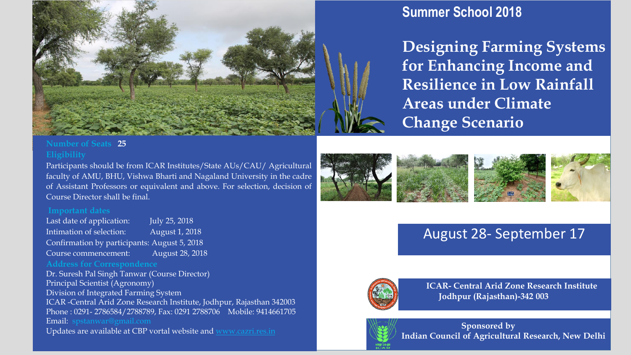

# **Summer School 2018**

**Designing Farming Systems for Enhancing Income and Resilience in Low Rainfall Areas under Climate Change Scenario** 

## **Number of Seats 25**

### **Eligibility**

Participants should be from ICAR Institutes/State AUs/CAU/ Agricultural faculty of AMU, BHU, Vishwa Bharti and Nagaland University in the cadre of Assistant Professors or equivalent and above. For selection, decision of Course Director shall be final.

### **Important dates**

Last date of application: July 25, 2018 Intimation of selection: August 1, 2018 Confirmation by participants: August 5, 2018 Course commencement: August 28, 2018

Dr. Suresh Pal Singh Tanwar (Course Director) Principal Scientist (Agronomy) Division of Integrated Farming System ICAR -Central Arid Zone Research Institute, Jodhpur, Rajasthan 342003 Phone : 0291- 2786584/2788789, Fax: 0291 2788706 Mobile: 9414661705 Email: spstanwar@gmail.com Updates are available at CBP vortal website and www.cazri.res.in



# August 28- September 17



**ICAR- Central Arid Zone Research Institute Jodhpur (Rajasthan)-342 003**



**Sponsored by Indian Council of Agricultural Research, New Delhi**